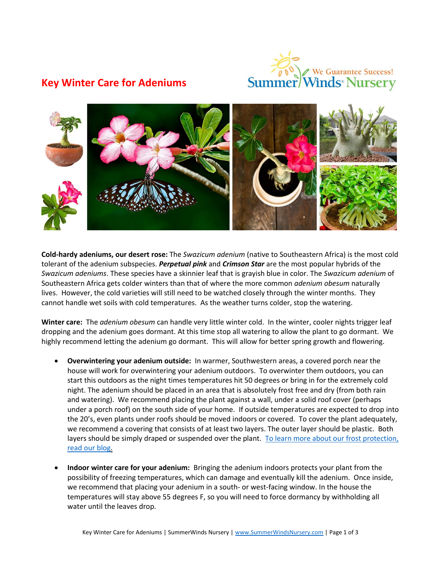

## **Key Winter Care for Adeniums**



**Cold-hardy adeniums, our desert rose:** The *Swazicum adenium* (native to Southeastern Africa) is the most cold tolerant of the adenium subspecies. *Perpetual pink* and *Crimson Star* are the most popular hybrids of the *Swazicum adeniums*. These species have a skinnier leaf that is grayish blue in color. The *Swazicum adenium* of Southeastern Africa gets colder winters than that of where the more common *adenium obesum* naturally lives. However, the cold varieties will still need to be watched closely through the winter months. They cannot handle wet soils with cold temperatures. As the weather turns colder, stop the watering.

**Winter care:** The *adenium obesum* can handle very little winter cold. In the winter, cooler nights trigger leaf dropping and the adenium goes dormant. At this time stop all watering to allow the plant to go dormant. We highly recommend letting the adenium go dormant. This will allow for better spring growth and flowering.

- **Overwintering your adenium outside:** In warmer, Southwestern areas, a covered porch near the house will work for overwintering your adenium outdoors. To overwinter them outdoors, you can start this outdoors as the night times temperatures hit 50 degrees or bring in for the extremely cold night. The adenium should be placed in an area that is absolutely frost free and dry (from both rain and watering). We recommend placing the plant against a wall, under a solid roof cover (perhaps under a porch roof) on the south side of your home. If outside temperatures are expected to drop into the 20's, even plants under roofs should be moved indoors or covered. To cover the plant adequately, we recommend a covering that consists of at least two layers. The outer layer should be plastic. Both layers should be simply draped or suspended over the plant. To learn more about our frost protection, [read our blog.](http://summerwindsnursery.com/blog-az/protect-them-during-cooler-temperatures)
- **Indoor winter care for your adenium:** Bringing the adenium indoors protects your plant from the possibility of freezing temperatures, which can damage and eventually kill the adenium. Once inside, we recommend that placing your adenium in a south- or west-facing window. In the house the temperatures will stay above 55 degrees F, so you will need to force dormancy by withholding all water until the leaves drop.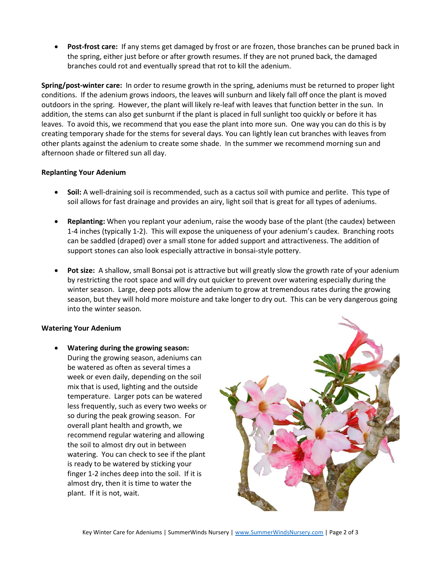**Post-frost care:** If any stems get damaged by frost or are frozen, those branches can be pruned back in the spring, either just before or after growth resumes. If they are not pruned back, the damaged branches could rot and eventually spread that rot to kill the adenium.

**Spring/post-winter care:** In order to resume growth in the spring, adeniums must be returned to proper light conditions. If the adenium grows indoors, the leaves will sunburn and likely fall off once the plant is moved outdoors in the spring. However, the plant will likely re-leaf with leaves that function better in the sun. In addition, the stems can also get sunburnt if the plant is placed in full sunlight too quickly or before it has leaves. To avoid this, we recommend that you ease the plant into more sun. One way you can do this is by creating temporary shade for the stems for several days. You can lightly lean cut branches with leaves from other plants against the adenium to create some shade. In the summer we recommend morning sun and afternoon shade or filtered sun all day.

## **Replanting Your Adenium**

- **Soil:** A well-draining soil is recommended, such as a cactus soil with pumice and perlite. This type of soil allows for fast drainage and provides an airy, light soil that is great for all types of adeniums.
- **Replanting:** When you replant your adenium, raise the woody base of the plant (the caudex) between 1-4 inches (typically 1-2). This will expose the uniqueness of your adenium's caudex. Branching roots can be saddled (draped) over a small stone for added support and attractiveness. The addition of support stones can also look especially attractive in bonsai-style pottery.
- **Pot size:** A shallow, small Bonsai pot is attractive but will greatly slow the growth rate of your adenium by restricting the root space and will dry out quicker to prevent over watering especially during the winter season. Large, deep pots allow the adenium to grow at tremendous rates during the growing season, but they will hold more moisture and take longer to dry out. This can be very dangerous going into the winter season.

## **Watering Your Adenium**

 **Watering during the growing season:** During the growing season, adeniums can be watered as often as several times a week or even daily, depending on the soil mix that is used, lighting and the outside temperature. Larger pots can be watered less frequently, such as every two weeks or so during the peak growing season. For overall plant health and growth, we recommend regular watering and allowing the soil to almost dry out in between watering. You can check to see if the plant is ready to be watered by sticking your finger 1-2 inches deep into the soil. If it is almost dry, then it is time to water the plant. If it is not, wait.